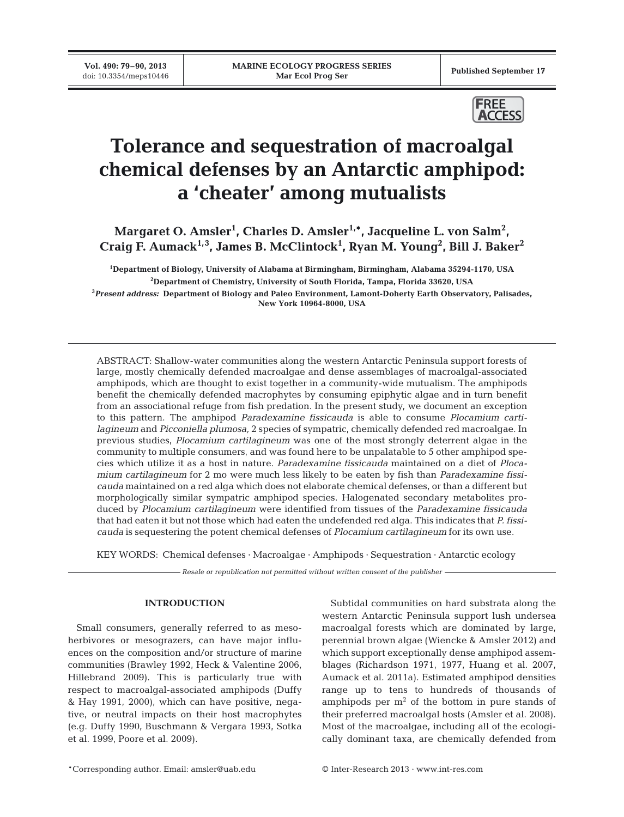**Vol. 490: 79–90, 2013**



# **Tolerance and sequestration of macroalgal chemical defenses by an Antarctic amphipod: a 'cheater' among mutualists**

Margaret O. Amsler<sup>1</sup>, Charles D. Amsler<sup>1,\*</sup>, Jacqueline L. von Salm<sup>2</sup>, **Craig F. Aumack1,3, James B. McClintock1 , Ryan M. Young2 , Bill J. Baker2**

 **Department of Biology, University of Alabama at Birmingham, Birmingham, Alabama 35294-1170, USA Department of Chemistry, University of South Florida, Tampa, Florida 33620, USA** *Present address:* **Department of Biology and Paleo Environment, Lamont-Doherty Earth Observatory, Palisades, New York 10964-8000, USA**

ABSTRACT: Shallow-water communities along the western Antarctic Peninsula support forests of large, mostly chemically defended macroalgae and dense assemblages of macroalgal-associated amphipods, which are thought to exist together in a community-wide mutualism. The amphipods benefit the chemically defended macrophytes by consuming epiphytic algae and in turn benefit from an associational refuge from fish predation. In the present study, we document an exception to this pattern. The amphipod *Paradexamine fissicauda* is able to consume *Plocamium cartilagineum* and *Picconiella plumosa,* 2 species of sympatric, chemically defended red macroalgae. In previous studies, *Plocamium cartilagineum* was one of the most strongly deterrent algae in the community to multiple consumers, and was found here to be unpalatable to 5 other amphipod species which utilize it as a host in nature. *Paradexamine fissicauda* maintained on a diet of *Ploca mium cartilagineum* for 2 mo were much less likely to be eaten by fish than *Paradexamine fissicauda* maintained on a red alga which does not elaborate chemical defenses, or than a different but morphologically similar sympatric amphipod species. Halogenated secondary metabolites produced by *Plocamium cartilagineum* were identified from tissues of the *Paradexamine fissicauda* that had eaten it but not those which had eaten the undefended red alga. This indicates that *P. fissicauda* is sequestering the potent chemical defenses of *Plocamium cartilagineum* for its own use.

KEY WORDS: Chemical defenses · Macroalgae · Amphipods · Sequestration · Antarctic ecology

*Resale or republication not permitted without written consent of the publisher*

# **INTRODUCTION**

Small consumers, generally referred to as mesoherbivores or mesograzers, can have major influences on the composition and/or structure of marine communities (Brawley 1992, Heck & Valentine 2006, Hillebrand 2009). This is particularly true with respect to macroalgal-associated amphipods (Duffy & Hay 1991, 2000), which can have positive, negative, or neutral impacts on their host macrophytes (e.g. Duffy 1990, Buschmann & Vergara 1993, Sotka et al. 1999, Poore et al. 2009).

Subtidal communities on hard substrata along the western Antarctic Peninsula support lush undersea macroalgal forests which are dominated by large, perennial brown algae (Wiencke & Amsler 2012) and which support exceptionally dense amphipod assemblages (Richardson 1971, 1977, Huang et al. 2007, Aumack et al. 2011a). Estimated amphipod densities range up to tens to hundreds of thousands of amphipods per  $m<sup>2</sup>$  of the bottom in pure stands of their preferred macroalgal hosts (Amsler et al. 2008). Most of the macroalgae, including all of the ecologically dominant taxa, are chemically defended from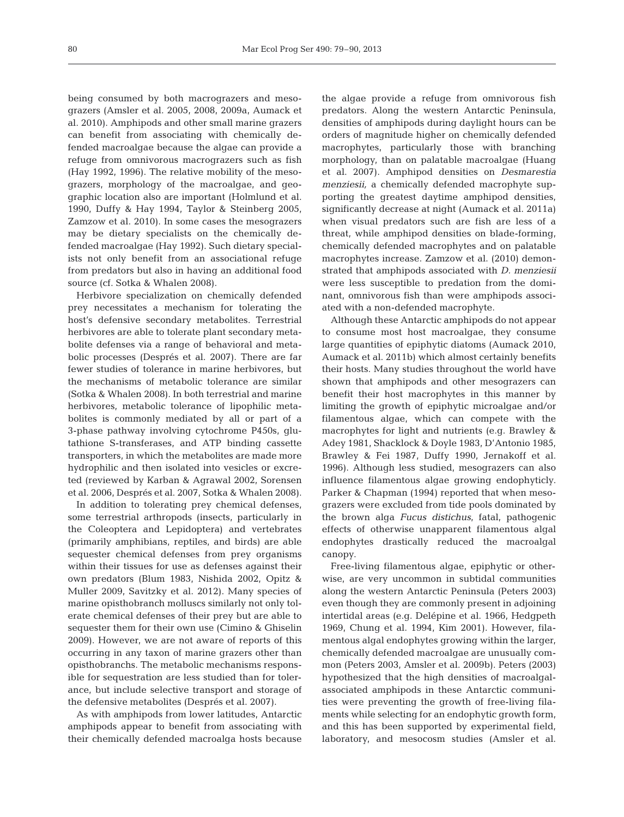being consumed by both macrograzers and mesograzers (Amsler et al. 2005, 2008, 2009a, Aumack et al. 2010). Amphipods and other small marine grazers can benefit from associating with chemically defended macroalgae because the algae can provide a refuge from omnivorous macrograzers such as fish (Hay 1992, 1996). The relative mobility of the mesograzers, morphology of the macroalgae, and geographic location also are important (Holmlund et al. 1990, Duffy & Hay 1994, Taylor & Steinberg 2005, Zamzow et al. 2010). In some cases the mesograzers may be dietary specialists on the chemically defended macroalgae (Hay 1992). Such dietary specialists not only benefit from an associational refuge from predators but also in having an additional food source (cf. Sotka & Whalen 2008).

Herbivore specialization on chemically defended prey necessitates a mechanism for tolerating the host's defensive secondary metabolites. Terrestrial herbivores are able to tolerate plant secondary meta bolite defenses via a range of behavioral and metabolic processes (Després et al. 2007). There are far fewer studies of tolerance in marine herbivores, but the mechanisms of metabolic tolerance are similar (Sotka & Whalen 2008). In both terrestrial and marine herbivores, metabolic tolerance of lipophilic metabolites is commonly mediated by all or part of a 3-phase pathway involving cytochrome P450s, glutathione S-transferases, and ATP binding cassette transporters, in which the metabolites are made more hydrophilic and then isolated into vesicles or excreted (reviewed by Karban & Agrawal 2002, Sorensen et al. 2006, Després et al. 2007, Sotka & Whalen 2008).

In addition to tolerating prey chemical defenses, some terrestrial arthropods (insects, particularly in the Coleoptera and Lepidoptera) and vertebrates (primarily amphibians, reptiles, and birds) are able sequester chemical defenses from prey organisms within their tissues for use as defenses against their own predators (Blum 1983, Nishida 2002, Opitz & Muller 2009, Savitzky et al. 2012). Many species of marine opisthobranch molluscs similarly not only tolerate chemical defenses of their prey but are able to sequester them for their own use (Cimino & Ghiselin 2009). However, we are not aware of reports of this occurring in any taxon of marine grazers other than opisthobranchs. The metabolic mechanisms responsible for sequestration are less studied than for tolerance, but include selective transport and storage of the defensive metabolites (Després et al. 2007).

As with amphipods from lower latitudes, Antarctic amphipods appear to benefit from associating with their chemically defended macroalga hosts because

the algae provide a refuge from omnivorous fish predators. Along the western Antarctic Peninsula, densities of amphipods during daylight hours can be orders of magnitude higher on chemically defended macrophytes, particularly those with branching morphology, than on palatable macroalgae (Huang et al. 2007). Amphipod densities on *Desmarestia menziesii,* a chemically defended macrophyte supporting the greatest daytime amphipod densities, significantly decrease at night (Aumack et al. 2011a) when visual predators such are fish are less of a threat, while amphipod densities on blade-forming, chemically defended macrophytes and on palatable macrophytes increase. Zamzow et al. (2010) demonstrated that amphipods associated with *D. menziesii* were less susceptible to predation from the dominant, omnivorous fish than were amphipods associated with a non-defended macrophyte.

Although these Antarctic amphipods do not appear to consume most host macroalgae, they consume large quantities of epiphytic diatoms (Aumack 2010, Aumack et al. 2011b) which almost certainly benefits their hosts. Many studies throughout the world have shown that amphipods and other mesograzers can benefit their host macrophytes in this manner by limiting the growth of epiphytic microalgae and/or filamentous algae, which can compete with the macrophytes for light and nutrients (e.g. Brawley & Adey 1981, Shacklock & Doyle 1983, D'Antonio 1985, Brawley & Fei 1987, Duffy 1990, Jernakoff et al. 1996). Although less studied, mesograzers can also influence filamentous algae growing endophyticly. Parker & Chapman (1994) reported that when mesograzers were excluded from tide pools dominated by the brown alga *Fucus distichus*, fatal, pathogenic effects of otherwise unapparent filamentous algal endophytes drastically reduced the macroalgal canopy.

Free-living filamentous algae, epiphytic or otherwise, are very uncommon in subtidal communities along the western Antarctic Peninsula (Peters 2003) even though they are commonly present in adjoining intertidal areas (e.g. Delépine et al. 1966, Hedgpeth 1969, Chung et al. 1994, Kim 2001). However, filamentous algal endophytes growing within the larger, chemically defended macroalgae are unusually common (Peters 2003, Amsler et al. 2009b). Peters (2003) hypothesized that the high densities of macroalgalassociated amphipods in these Antarctic communities were preventing the growth of free-living filaments while selecting for an endophytic growth form, and this has been supported by experimental field, laboratory, and mesocosm studies (Amsler et al.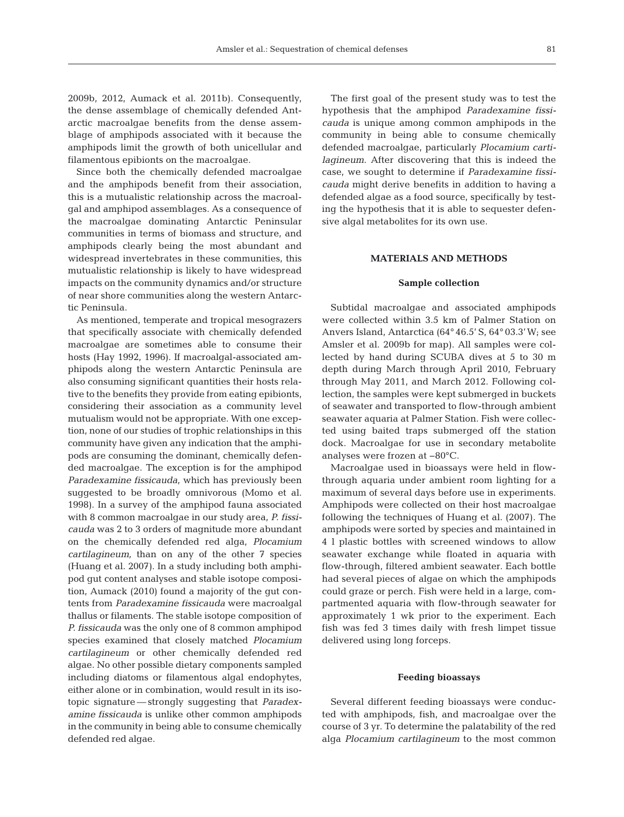2009b, 2012, Aumack et al. 2011b). Consequently, the dense assemblage of chemically defended Antarctic macroalgae benefits from the dense assemblage of amphipods associated with it because the amphipods limit the growth of both unicellular and filamentous epibionts on the macroalgae.

Since both the chemically defended macroalgae and the amphipods benefit from their association, this is a mutualistic relationship across the macroalgal and amphipod assemblages. As a consequence of the macroalgae dominating Antarctic Peninsular communities in terms of biomass and structure, and amphipods clearly being the most abundant and widespread invertebrates in these communities, this mutualistic relationship is likely to have widespread impacts on the community dynamics and/or structure of near shore communities along the western Antarctic Peninsula.

As mentioned, temperate and tropical mesograzers that specifically associate with chemically defended macroalgae are sometimes able to consume their hosts (Hay 1992, 1996). If macroalgal-associated amphipods along the western Antarctic Peninsula are also consuming significant quantities their hosts relative to the benefits they provide from eating epibionts, considering their association as a community level mutualism would not be appropriate. With one exception, none of our studies of trophic relationships in this community have given any indication that the amphipods are consuming the dominant, chemically defen ded macroalgae. The exception is for the amphipod *Paradexamine fissicauda*, which has previously been suggested to be broadly omnivorous (Momo et al. 1998). In a survey of the amphipod fauna associated with 8 common macroalgae in our study area, *P. fissicauda* was 2 to 3 orders of magnitude more abundant on the chemically defended red alga, *Plocamium cartilagineum,* than on any of the other 7 species (Huang et al. 2007). In a study including both amphipod gut content analyses and stable isotope composition, Aumack (2010) found a majority of the gut contents from *Paradexamine fissicauda* were macroalgal thallus or filaments. The stable isotope composition of *P. fissicauda* was the only one of 8 common amphipod species examined that closely matched *Plocamium cartilagineum* or other chemically defended red algae. No other possible dietary components sampled including diatoms or filamentous algal endophytes, either alone or in combination, would result in its isotopic signature — strongly suggesting that *Paradexamine fissicauda* is unlike other common amphipods in the community in being able to consume chemically defended red algae.

The first goal of the present study was to test the hypothesis that the amphipod *Paradexamine fissicauda* is unique among common amphipods in the community in being able to consume chemically defended macroalgae, particularly *Plocamium cartilagineum*. After discovering that this is indeed the case, we sought to determine if *Paradexamine fissicauda* might derive benefits in addition to having a de fended algae as a food source, specifically by testing the hypothesis that it is able to sequester defensive algal metabolites for its own use.

## **MATERIALS AND METHODS**

#### **Sample collection**

Subtidal macroalgae and associated amphipods were collected within 3.5 km of Palmer Station on Anvers Island, Antarctica (64° 46.5' S, 64° 03.3'W; see Amsler et al. 2009b for map). All samples were collected by hand during SCUBA dives at 5 to 30 m depth during March through April 2010, February through May 2011, and March 2012. Following collection, the samples were kept submerged in buckets of seawater and transported to flow-through ambient seawater aquaria at Palmer Station. Fish were collec ted using baited traps submerged off the station dock. Macroalgae for use in secondary metabolite analyses were frozen at −80°C.

Macroalgae used in bioassays were held in flowthrough aquaria under ambient room lighting for a maximum of several days before use in experiments. Amphipods were collected on their host macroalgae following the techniques of Huang et al. (2007). The amphipods were sorted by species and maintained in 4 l plastic bottles with screened windows to allow seawater exchange while floated in aquaria with flow-through, filtered ambient seawater. Each bottle had several pieces of algae on which the amphipods could graze or perch. Fish were held in a large, compartmented aquaria with flow-through seawater for approximately 1 wk prior to the experiment. Each fish was fed 3 times daily with fresh limpet tissue delivered using long forceps.

### **Feeding bioassays**

Several different feeding bioassays were conduc ted with amphipods, fish, and macroalgae over the course of 3 yr. To determine the palatability of the red alga *Plocamium cartilagineum* to the most common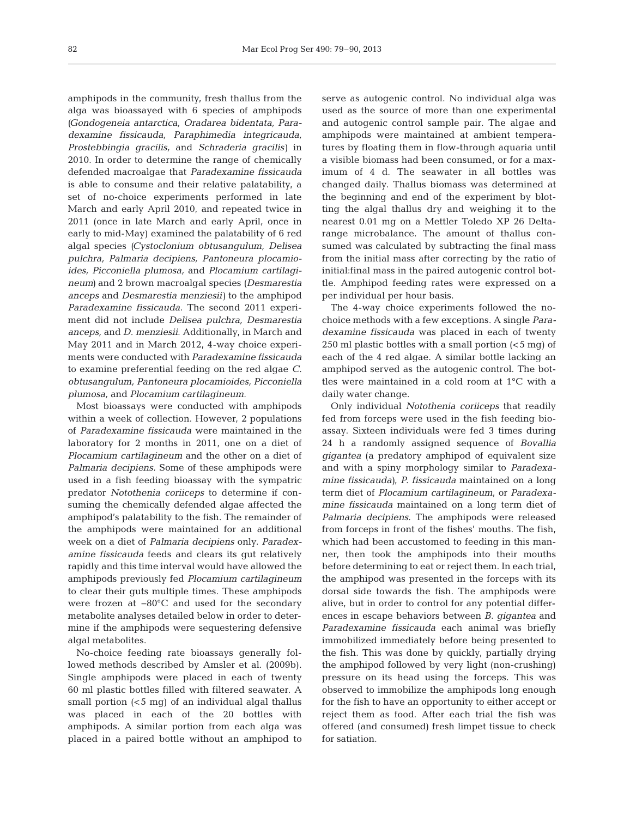amphipods in the community, fresh thallus from the alga was bioassayed with 6 species of amphipods *(Gondogeneia antarctica, Oradarea bidentata, Para dexamine fissicauda, Paraphimedia integricauda, Pro stebbingia gracilis,* and *Schraderia gracilis)* in 2010. In order to determine the range of chemically defended macroalgae that *Paradexamine fissicauda* is able to consume and their relative palatability, a set of no-choice experiments performed in late March and early April 2010, and repeated twice in 2011 (once in late March and early April, once in early to mid-May) examined the palatability of 6 red algal species *(Cystoclonium obtusangulum, Delisea pulchra, Palmaria decipiens, Pantoneura plocamio ides, Picconiella plumosa,* and *Plocamium cartilagi neum)* and 2 brown macroalgal species *(Desmarestia anceps* and *Desmarestia menziesii)* to the amphipod *Paradexamine fissicauda*. The second 2011 experiment did not include *Delisea pulchra, Desmarestia anceps,* and *D. menziesii*. Additionally, in March and May 2011 and in March 2012, 4-way choice experiments were conducted with *Paradexamine fissicauda* to examine preferential feeding on the red algae *C. obtusangulum, Pantoneura ploca mioides, Picconiella plumosa,* and *Plocamium cartilagineum.*

Most bioassays were conducted with amphipods within a week of collection. However, 2 populations of *Paradexamine fissicauda* were maintained in the laboratory for 2 months in 2011, one on a diet of *Ploca mium cartilagineum* and the other on a diet of *Palmaria decipiens.* Some of these amphipods were used in a fish feeding bioassay with the sympatric predator *Notothenia coriiceps* to determine if consuming the chemically defended algae affected the amphipod's palatability to the fish. The remainder of the amphipods were maintained for an additional week on a diet of *Palmaria decipiens* only. *Paradexamine fissicauda* feeds and clears its gut relatively rapidly and this time interval would have allowed the amphipods previously fed *Plocamium cartilagineum* to clear their guts multiple times. These amphipods were frozen at −80°C and used for the secondary metabolite analyses detailed below in order to determine if the amphipods were sequestering defensive algal metabolites.

No-choice feeding rate bioassays generally followed methods described by Amsler et al. (2009b). Single amphipods were placed in each of twenty 60 ml plastic bottles filled with filtered seawater. A small portion (<5 mg) of an individual algal thallus was placed in each of the 20 bottles with amphipods. A similar portion from each alga was placed in a paired bottle without an amphipod to serve as autogenic control. No individual alga was used as the source of more than one experimental and autogenic control sample pair. The algae and amphipods were maintained at ambient temperatures by floating them in flow-through aquaria until a visible biomass had been consumed, or for a maximum of 4 d. The seawater in all bottles was changed daily. Thallus biomass was determined at the beginning and end of the experiment by blotting the algal thallus dry and weighing it to the nearest 0.01 mg on a Mettler Toledo XP 26 Delta range microbalance. The amount of thallus consumed was calculated by subtracting the final mass from the initial mass after correcting by the ratio of initial:final mass in the paired autogenic control bottle. Amphipod feeding rates were expressed on a per individual per hour basis.

The 4-way choice experiments followed the nochoice methods with a few exceptions. A single *Para*  dexamine fissicauda was placed in each of twenty 250 ml plastic bottles with a small portion (<5 mg) of each of the 4 red algae. A similar bottle lacking an amphipod served as the autogenic control. The bottles were maintained in a cold room at 1°C with a daily water change.

Only individual *Notothenia coriiceps* that readily fed from forceps were used in the fish feeding bioassay. Sixteen individuals were fed 3 times during 24 h a randomly assigned sequence of *Bovallia gigantea* (a predatory amphipod of equivalent size and with a spiny morphology similar to *Paradexa mine fissicauda)*, *P. fissicauda* maintained on a long term diet of *Plocamium cartilagineum*, or *Para dexa mine fissicauda* maintained on a long term diet of *Palmaria decipiens*. The amphipods were released from forceps in front of the fishes' mouths. The fish, which had been accustomed to feeding in this manner, then took the amphipods into their mouths before determining to eat or reject them. In each trial, the amphipod was presented in the forceps with its dorsal side towards the fish. The amphipods were alive, but in order to control for any potential differences in escape behaviors between *B. gigantea* and *Para dexamine fissicauda* each animal was briefly immobilized immediately before being presented to the fish. This was done by quickly, partially drying the amphipod followed by very light (non-crushing) pressure on its head using the forceps. This was observed to immobilize the amphipods long enough for the fish to have an opportunity to either accept or reject them as food. After each trial the fish was offered (and consumed) fresh limpet tissue to check for satiation.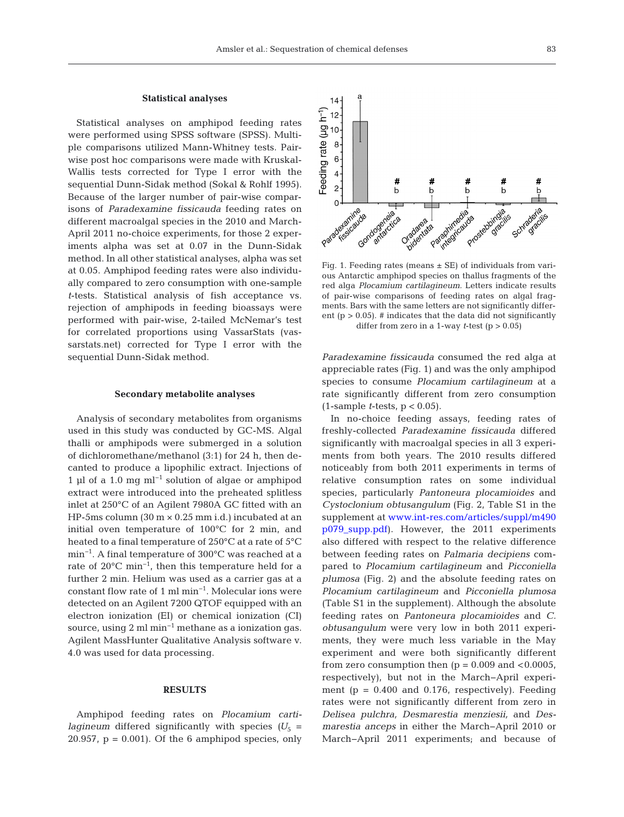$14 -$ 

#### **Statistical analyses**

Statistical analyses on amphipod feeding rates were performed using SPSS software (SPSS). Multiple comparisons utilized Mann-Whitney tests. Pairwise post hoc comparisons were made with Kruskal-Wallis tests corrected for Type I error with the sequential Dunn-Sidak method (Sokal & Rohlf 1995). Because of the larger number of pair-wise comparisons of *Paradexamine fissicauda* feeding rates on different macroalgal species in the 2010 and March-April 2011 no-choice experiments, for those 2 experiments alpha was set at 0.07 in the Dunn-Sidak method. In all other statistical analyses, alpha was set at 0.05. Amphipod feeding rates were also individually compared to zero consumption with one-sample *t*-tests. Statistical analysis of fish acceptance vs. rejection of amphipods in feeding bioassays were performed with pair-wise, 2-tailed McNemar's test for correlated proportions using VassarStats (vassarstats.net) corrected for Type I error with the sequential Dunn-Sidak method.

#### **Secondary metabolite analyses**

Analysis of secondary metabolites from organisms used in this study was conducted by GC-MS. Algal thalli or amphipods were submerged in a solution of dichloromethane/methanol (3:1) for 24 h, then de canted to produce a lipophilic extract. Injections of 1 µl of a 1.0 mg ml−1 solution of algae or amphipod extract were introduced into the preheated splitless inlet at 250°C of an Agilent 7980A GC fitted with an HP-5ms column  $(30 \text{ m} \times 0.25 \text{ mm} \text{ i.d.})$  incubated at an initial oven temperature of 100°C for 2 min, and heated to a final temperature of 250°C at a rate of 5°C min−1. A final temperature of 300°C was reached at a rate of 20°C min−1, then this temperature held for a further 2 min. Helium was used as a carrier gas at a constant flow rate of 1 ml min−1. Molecular ions were detected on an Agilent 7200 QTOF equipped with an electron ionization (EI) or chemical ionization (CI) source, using 2 ml min<sup>-1</sup> methane as a ionization gas. Agilent MassHunter Qualitative Analysis software v. 4.0 was used for data processing.

## **RESULTS**

Amphipod feeding rates on *Plocamium cartilagineum* differed significantly with species  $(U_5 =$ 20.957,  $p = 0.001$ . Of the 6 amphipod species, only

Feeding rate ( $\mu$ g h<sup>-1</sup>)<br>  $\mu$  +  $\alpha$   $\alpha$   $\beta$   $\beta$ #  $\mathsf{h}$ b  $\mathsf{b}$  $\mathsf{b}$ h Prostably de la  $\Omega$ Paragonicado Parintestic Paris Gondogeneia Schraderia dezemine integrinedia. aderia. dogeneia<br>dogeneica a<br>Oradartati vadarea, 1<br>Vadartata Fig. 1. Feeding rates (means  $\pm$  SE) of individuals from vari-

ous Antarctic amphipod species on thallus fragments of the red alga *Plocamium cartilagineum.* Letters indicate results of pair-wise comparisons of feeding rates on algal fragments. Bars with the same letters are not significantly different ( $p > 0.05$ ). # indicates that the data did not significantly differ from zero in a 1-way *t*-test ( $p > 0.05$ )

*Paradexamine fissicauda* consumed the red alga at appreciable rates (Fig. 1) and was the only amphipod species to consume *Plocamium cartilagineum* at a rate significantly different from zero consumption (1-sample *t*-tests, p < 0.05).

In no-choice feeding assays, feeding rates of freshly-collected *Paradexamine fissicauda* differed significantly with macroalgal species in all 3 experiments from both years. The 2010 results differed noticeably from both 2011 experiments in terms of relative consumption rates on some individual species, particularly *Pantoneura plocamioides* and *Cysto clonium obtusangulum* (Fig. 2, Table S1 in the supplement at www.int-res.com/articles/suppl/m490 [p079\\_supp.pdf\).](http://www.int-res.com/articles/suppl/m490p079_supp.pdf) However, the 2011 experiments also differed with respect to the relative difference be tween feeding rates on *Palmaria decipiens* compared to *Plocamium cartilagineum* and *Picconiella plumosa* (Fig. 2) and the absolute feeding rates on *Plocamium cartilagineum* and *Picconiella plumosa* (Table S1 in the supplement). Although the absolute feeding rates on *Pantoneura plocamioides* and *C. obtusangulum* were very low in both 2011 experiments, they were much less variable in the May experiment and were both significantly different from zero consumption then  $(p = 0.009$  and  $< 0.0005$ , respectively), but not in the March−April experiment ( $p = 0.400$  and 0.176, respectively). Feeding rates were not significantly different from zero in *Delisea pulchra, Desmarestia menziesii,* and *Desmarestia anceps* in either the March−April 2010 or March−April 2011 experiments; and because of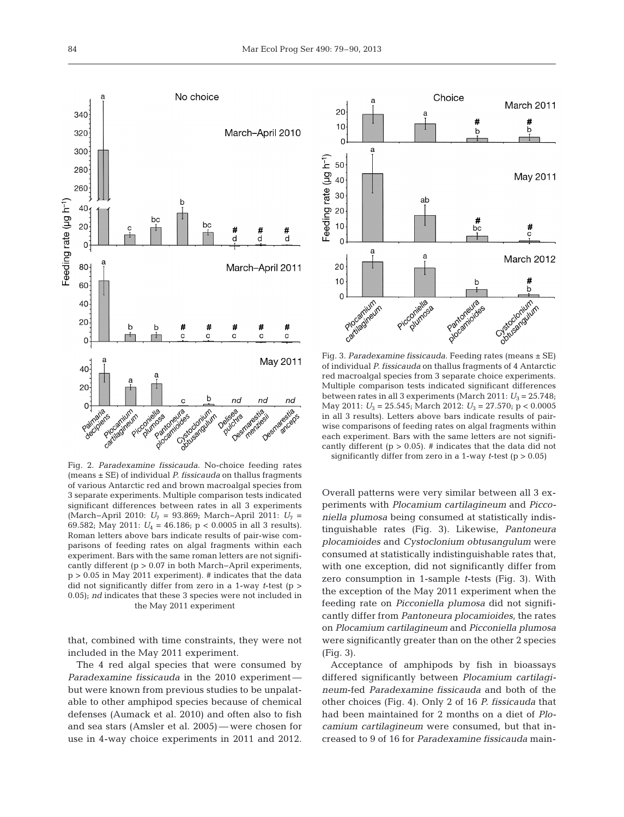

Fig. 2. *Paradexamine fissicauda.* No-choice feeding rates (means ± SE) of individual *P. fissicauda* on thallus fragments of various Antarctic red and brown macroalgal species from 3 separate experiments. Multiple comparison tests indicated significant differences between rates in all 3 experiments (March−April 2010: *U*<sup>7</sup> = 93.869; March−April 2011: *U*<sup>7</sup> = 69.582; May 2011:  $U_4 = 46.186$ ;  $p < 0.0005$  in all 3 results). Roman letters above bars indicate results of pair-wise comparisons of feeding rates on algal fragments within each experiment. Bars with the same roman letters are not significantly different (p > 0.07 in both March−April experiments,  $p > 0.05$  in May 2011 experiment). # indicates that the data did not significantly differ from zero in a 1-way *t*-test (p > 0.05); *nd* indicates that these 3 species were not included in the May 2011 experiment

that, combined with time constraints, they were not included in the May 2011 experiment.

The 4 red algal species that were consumed by *Paradexamine fissicauda* in the 2010 experiment but were known from previous studies to be unpalatable to other amphipod species because of chemical defenses (Aumack et al. 2010) and often also to fish and sea stars (Amsler et al. 2005) — were chosen for use in 4-way choice experiments in 2011 and 2012.



Fig. 3. *Paradexamine fissicauda.* Feeding rates (means ± SE) of individual *P. fissicauda* on thallus fragments of 4 Antarctic red macroalgal species from 3 separate choice experiments. Multiple comparison tests indicated significant differences between rates in all 3 experiments (March 2011:  $U_3 = 25.748$ ; May 2011: *U*<sup>3</sup> = 25.545; March 2012: *U*<sup>3</sup> = 27.570; p < 0.0005 in all 3 results). Letters above bars indicate results of pairwise comparisons of feeding rates on algal fragments within each experiment. Bars with the same letters are not significantly different ( $p > 0.05$ ). # indicates that the data did not

significantly differ from zero in a 1-way *t*-test (p > 0.05)

Overall patterns were very similar between all 3 ex periments with *Plocamium cartilagineum* and *Picco niella plumosa* being consumed at statistically indistinguishable rates (Fig. 3). Likewise, *Pantoneura plocamioides* and *Cystoclonium obtusangulum* were consumed at statistically indistinguishable rates that, with one exception, did not significantly differ from zero consumption in 1-sample *t*-tests (Fig. 3). With the exception of the May 2011 experiment when the feeding rate on *Picconiella plumosa* did not significantly differ from *Pantoneura plocamioides*, the rates on *Plocamium cartilagineum* and *Picconiella plumosa* were significantly greater than on the other 2 species (Fig. 3).

Acceptance of amphipods by fish in bioassays differed significantly between *Plocamium cartilagi neum*-fed *Paradexamine fissicauda* and both of the other choices (Fig. 4). Only 2 of 16 *P. fissicauda* that had been maintained for 2 months on a diet of *Plocamium cartilagineum* were consumed, but that increased to 9 of 16 for *Paradexamine fissicauda* main-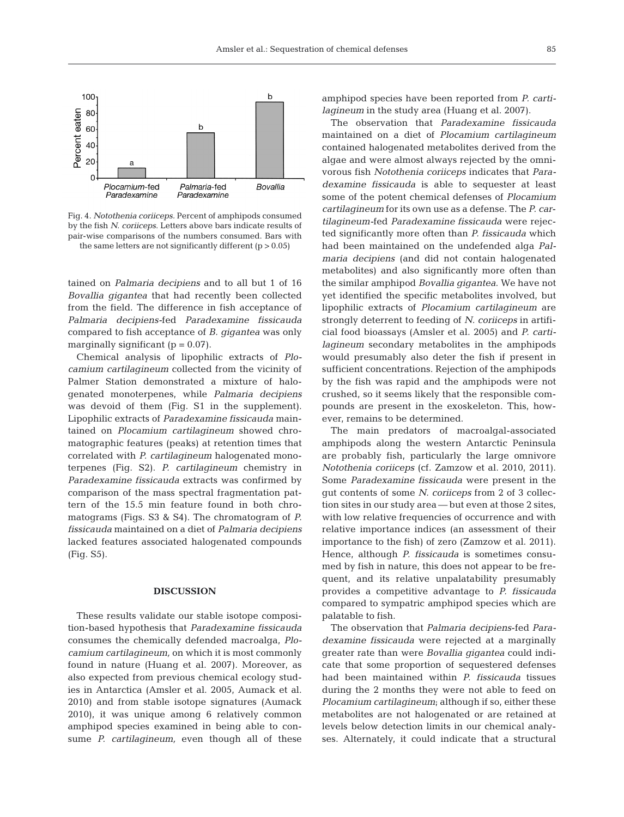

Fig. 4. *Notothenia coriiceps.* Percent of amphipods consumed by the fish *N. coriiceps*. Letters above bars indicate results of pair-wise comparisons of the numbers consumed. Bars with the same letters are not significantly different  $(p > 0.05)$ 

tained on *Palmaria decipiens* and to all but 1 of 16 *Bovallia gigantea* that had recently been collected from the field. The difference in fish acceptance of *Palmaria decipiens-fed Paradexamine fissicauda* compared to fish acceptance of *B. gigantea* was only marginally significant  $(p = 0.07)$ .

Chemical analysis of lipophilic extracts of *Plocamium cartilagineum* collected from the vicinity of Palmer Station demonstrated a mixture of halogenated monoterpenes, while *Palmaria decipiens* was devoid of them (Fig. S1 in the supplement). Lipophilic extracts of *Paradexamine fissicauda* maintained on *Plocamium cartilagineum* showed chromatographic features (peaks) at retention times that correlated with *P. cartilagineum* halogenated monoterpenes (Fig. S2). *P. cartilagineum* chemistry in *Paradexamine fissicauda* extracts was confirmed by comparison of the mass spectral fragmentation pattern of the 15.5 min feature found in both chromatograms (Figs. S3 & S4). The chromatogram of *P. fissicauda* maintained on a diet of *Palmaria decipiens* lacked features associated halogenated compounds (Fig. S5).

# **DISCUSSION**

These results validate our stable isotope composition-based hypothesis that *Paradexamine fissicauda* consumes the chemically defended macroalga, *Plocamium cartilagineum,* on which it is most commonly found in nature (Huang et al. 2007). Moreover, as also expected from previous chemical ecology studies in Antarctica (Amsler et al. 2005, Aumack et al. 2010) and from stable isotope signatures (Aumack 2010), it was unique among 6 relatively common amphipod species examined in being able to consume *P. cartilagineum,* even though all of these

amphipod species have been reported from *P. cartilagineum* in the study area (Huang et al. 2007).

The observation that *Paradexamine fissicauda* maintained on a diet of *Plocamium cartilagineum* contained halogenated metabolites derived from the algae and were almost always rejected by the omnivorous fish *Notothenia coriiceps* indicates that *Para dexamine fissicauda* is able to sequester at least some of the potent chemical defenses of *Plocamium cartilagineum* for its own use as a defense. The *P. cartilagineum-*fed *Paradexamine fissi cauda* were rejec ted significantly more often than *P. fissicauda* which had been maintained on the undefended alga *Palmaria decipiens* (and did not contain halogenated metabolites) and also significantly more often than the similar amphipod *Bovallia gigantea*. We have not yet identified the specific metabolites involved, but lipophilic extracts of *Plocamium cartilagineum* are strongly deterrent to feeding of *N. coriiceps* in artificial food bioassays (Amsler et al. 2005) and *P. cartilagineum* secondary metabolites in the amphipods would presumably also deter the fish if present in sufficient concentrations. Rejection of the amphipods by the fish was rapid and the amphipods were not crushed, so it seems likely that the responsible compounds are present in the exoskeleton. This, however, remains to be determined.

The main predators of macroalgal-associated amphipods along the western Antarctic Peninsula are probably fish, particularly the large omnivore *Notothenia coriiceps* (cf. Zamzow et al. 2010, 2011). Some *Paradexamine fissicauda* were present in the gut contents of some *N. coriiceps* from 2 of 3 collection sites in our study area — but even at those 2 sites, with low relative frequencies of occurrence and with relative importance indices (an assessment of their importance to the fish) of zero (Zamzow et al. 2011). Hence, although *P. fissicauda* is sometimes consumed by fish in nature, this does not appear to be frequent, and its relative unpalatability presumably provides a competitive advantage to *P. fissicauda* compared to sympatric amphipod species which are palatable to fish.

The observation that *Palmaria decipiens*-fed *Para dexamine fissicauda* were rejected at a marginally greater rate than were *Bovallia gigantea* could indicate that some proportion of sequestered defenses had been maintained within *P. fissicauda* tissues during the 2 months they were not able to feed on *Plocamium cartilagineum*; although if so, either these metabolites are not halogenated or are retained at levels below detection limits in our chemical analyses. Alternately, it could indicate that a structural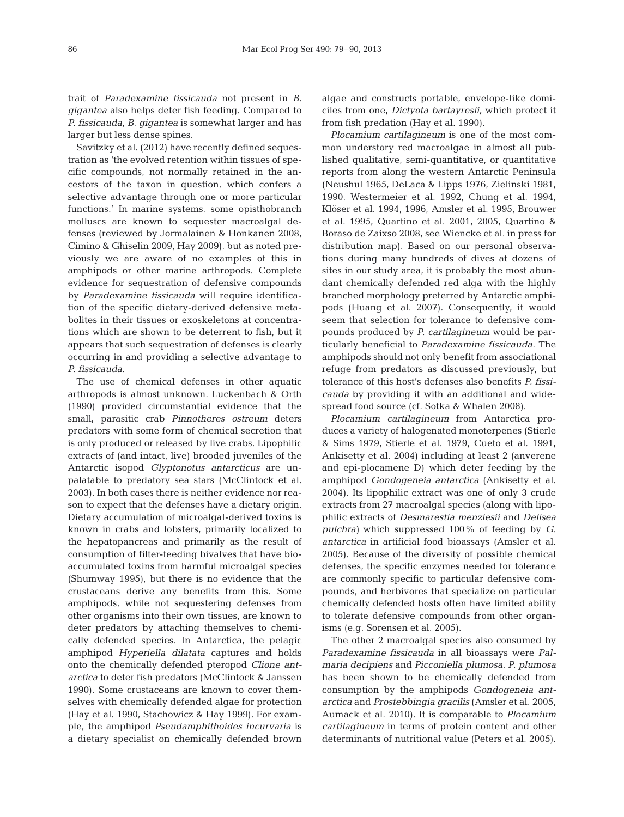trait of *Paradexamine fissicauda* not present in *B. gigantea* also helps deter fish feeding. Compared to *P. fissicauda*, *B. gigantea* is somewhat larger and has larger but less dense spines.

Savitzky et al. (2012) have recently defined sequestration as 'the evolved retention within tissues of specific compounds, not normally retained in the ancestors of the taxon in question, which confers a selective advantage through one or more particular functions.' In marine systems, some opisthobranch molluscs are known to sequester macroalgal defenses (reviewed by Jormalainen & Honkanen 2008, Cimino & Ghiselin 2009, Hay 2009), but as noted previously we are aware of no examples of this in amphipods or other marine arthropods. Complete evidence for sequestration of defensive compounds by *Paradexamine fissicauda* will require identification of the specific dietary-derived defensive meta bolites in their tissues or exoskeletons at concentrations which are shown to be deterrent to fish, but it appears that such sequestration of defenses is clearly occurring in and providing a selective advantage to *P. fissicauda*.

The use of chemical defenses in other aquatic arthropods is almost unknown. Luckenbach & Orth (1990) provided circumstantial evidence that the small, parasitic crab *Pinnotheres ostreum* deters predators with some form of chemical secretion that is only produced or released by live crabs. Lipophilic extracts of (and intact, live) brooded juveniles of the Antarctic isopod *Glyptonotus antarcticus* are unpalatable to predatory sea stars (McClintock et al. 2003). In both cases there is neither evidence nor reason to expect that the defenses have a dietary origin. Dietary accumulation of microalgal-derived toxins is known in crabs and lobsters, primarily localized to the hepatopancreas and primarily as the result of consumption of filter-feeding bivalves that have bio accumulated toxins from harmful microalgal species (Shumway 1995), but there is no evidence that the crustaceans derive any benefits from this. Some amphipods, while not sequestering defenses from other organisms into their own tissues, are known to deter predators by attaching themselves to chemically defended species. In Antarctica, the pelagic amphipod *Hyperiella dilatata* captures and holds onto the chemically defended pteropod *Clione ant arctica* to deter fish predators (McClintock & Janssen 1990). Some crustaceans are known to cover themselves with chemically defended algae for protection (Hay et al. 1990, Stachowicz & Hay 1999). For example, the amphipod *Pseudamphithoides incurvaria* is a dietary specialist on chemically defended brown

algae and constructs portable, envelope-like domiciles from one, *Dictyota bartayresii,* which protect it from fish predation (Hay et al. 1990).

*Plocamium cartilagineum* is one of the most common understory red macroalgae in almost all published qualitative, semi-quantitative, or quantitative reports from along the western Antarctic Peninsula (Neushul 1965, DeLaca & Lipps 1976, Zielinski 1981, 1990, Westermeier et al. 1992, Chung et al. 1994, Klöser et al. 1994, 1996, Amsler et al. 1995, Brouwer et al. 1995, Quartino et al. 2001, 2005, Quartino & Boraso de Zaixso 2008, see Wiencke et al. in press for distribution map). Based on our personal observations during many hundreds of dives at dozens of sites in our study area, it is probably the most abundant chemically defended red alga with the highly branched morphology preferred by Antarctic amphi pods (Huang et al. 2007). Consequently, it would seem that selection for tolerance to defensive compounds produced by *P. cartilagineum* would be particularly beneficial to *Paradexamine fissicauda.* The amphipods should not only benefit from associational refuge from predators as discussed previously, but tolerance of this host's defenses also benefits *P. fissicauda* by providing it with an additional and widespread food source (cf. Sotka & Whalen 2008).

*Plocamium cartilagineum* from Antarctica produces a variety of halogenated monoterpenes (Stierle & Sims 1979, Stierle et al. 1979, Cueto et al. 1991, Ankisetty et al. 2004) including at least 2 (anverene and epi-plocamene D) which deter feeding by the amphipod *Gondogeneia antarctica* (Ankisetty et al. 2004). Its lipophilic extract was one of only 3 crude extracts from 27 macroalgal species (along with lipophilic extracts of *Desmarestia menziesii* and *Delisea pulchra)* which suppressed 100% of feeding by *G. antarctica* in artificial food bioassays (Amsler et al. 2005). Because of the diversity of possible chemical defenses, the specific enzymes needed for tolerance are commonly specific to particular defensive compounds, and herbivores that specialize on particular chemically defended hosts often have limited ability to tolerate defensive compounds from other organisms (e.g. Sorensen et al. 2005).

The other 2 macroalgal species also consumed by *Paradexamine fissicauda* in all bioassays were *Palmaria decipiens* and *Picconiella plumosa. P. plumosa* has been shown to be chemically defended from consumption by the amphipods *Gondogeneia ant arctica* and *Prostebbingia gracilis* (Amsler et al. 2005, Aumack et al. 2010). It is comparable to *Plocamium cartilagineum* in terms of protein content and other determinants of nutritional value (Peters et al. 2005).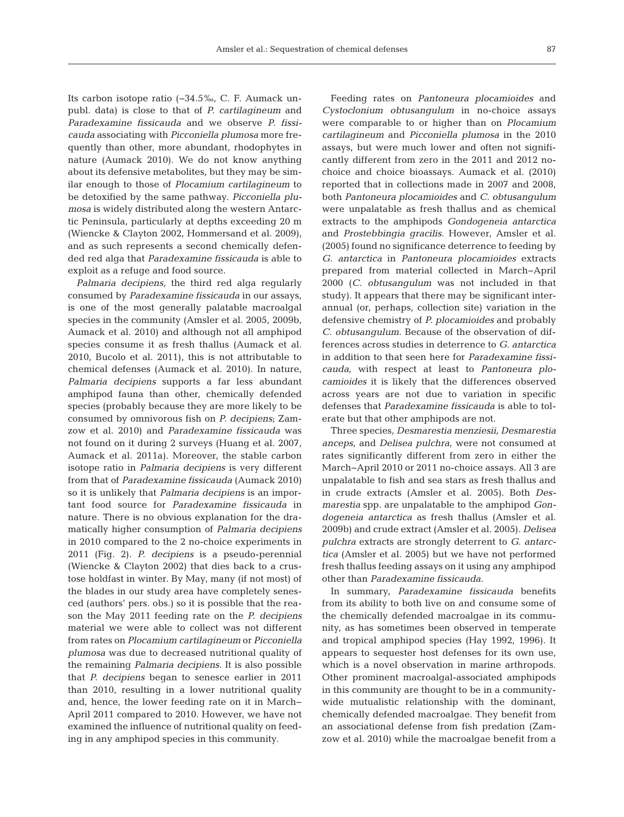Its carbon isotope ratio (−34.5‰, C. F. Aumack un publ. data) is close to that of *P. cartilagineum* and *Paradexamine fissicauda* and we observe *P. fissicauda* associating with *Picconiella plumosa* more frequently than other, more abundant, rhodophytes in nature (Aumack 2010). We do not know anything about its defensive metabolites, but they may be similar enough to those of *Plocamium cartilagineum* to be detoxified by the same pathway. *Picconiella plu mosa* is widely distributed along the western Antarctic Peninsula, particularly at depths exceeding 20 m (Wiencke & Clayton 2002, Hommersand et al. 2009), and as such represents a second chemically defended red alga that *Paradexamine fissicauda* is able to exploit as a refuge and food source.

*Palmaria decipiens,* the third red alga regularly consumed by *Paradexamine fissicauda* in our assays, is one of the most generally palatable macroalgal species in the community (Amsler et al. 2005, 2009b, Aumack et al. 2010) and although not all amphipod species consume it as fresh thallus (Aumack et al. 2010, Bucolo et al. 2011), this is not attributable to chemical defenses (Aumack et al. 2010). In nature, *Palmaria decipiens* supports a far less abundant amphipod fauna than other, chemically defended species (probably because they are more likely to be consumed by omnivorous fish on *P. decipiens*; Zamzow et al. 2010) and *Paradexamine fissicauda* was not found on it during 2 surveys (Huang et al. 2007, Aumack et al. 2011a). Moreover, the stable carbon isotope ratio in *Palmaria decipiens* is very different from that of *Paradexamine fissicauda* (Aumack 2010) so it is unlikely that *Palmaria decipiens* is an important food source for *Paradexamine fissicauda* in nature. There is no obvious explanation for the dramatically higher consumption of *Palmaria decipiens* in 2010 compared to the 2 no-choice experiments in 2011 (Fig. 2). *P. decipiens* is a pseudo-perennial (Wiencke & Clayton 2002) that dies back to a crustose holdfast in winter. By May, many (if not most) of the blades in our study area have completely senesced (authors' pers. obs.) so it is possible that the reason the May 2011 feeding rate on the *P. decipiens* material we were able to collect was not different from rates on *Plocamium cartilagineum* or *Picconiella plumosa* was due to decreased nutritional quality of the remaining *Palmaria decipiens*. It is also possible that *P. decipiens* began to senesce earlier in 2011 than 2010, resulting in a lower nutritional quality and, hence, the lower feeding rate on it in March− April 2011 compared to 2010. However, we have not examined the influence of nutritional quality on feeding in any amphipod species in this community.

Feeding rates on *Pantoneura plocamioides* and *Cysto clonium obtusangulum* in no-choice assays were comparable to or higher than on *Plocamium cartilagineum* and *Picconiella plumosa* in the 2010 assays, but were much lower and often not significantly different from zero in the 2011 and 2012 nochoice and choice bioassays. Aumack et al. (2010) reported that in collections made in 2007 and 2008, both *Pantoneura plocamioides* and *C. obtusangulum* were unpalatable as fresh thallus and as chemical extracts to the amphipods *Gondogeneia antarctica* and *Prostebbingia gracilis*. However, Amsler et al. (2005) found no significance deterrence to feeding by *G. ant arctica* in *Pantoneura plocamioides* extracts prepared from material collected in March−April 2000 (*C. obtusangulum* was not included in that study). It appears that there may be significant interannual (or, perhaps, collection site) variation in the defensive chemistry of *P. plocamioides* and probably *C. obtusangulum*. Because of the observation of differences across studies in deterrence to *G. antarctica* in addition to that seen here for *Paradexamine fissicauda,* with respect at least to *Pantoneura plocamioides* it is likely that the differences observed across years are not due to variation in specific defenses that *Paradexamine fissicauda* is able to tolerate but that other amphipods are not.

Three species, *Desmarestia menziesii, Desmarestia anceps*, and *Delisea pulchra,* were not consumed at rates significantly different from zero in either the March−April 2010 or 2011 no-choice assays. All 3 are unpalatable to fish and sea stars as fresh thallus and in crude extracts (Amsler et al. 2005). Both *Desmarestia* spp. are unpalatable to the amphipod *Gondogeneia antarctica* as fresh thallus (Amsler et al. 2009b) and crude extract (Amsler et al. 2005). *Delisea pulchra* extracts are strongly deterrent to *G. antarctica* (Amsler et al. 2005) but we have not performed fresh thallus feeding assays on it using any amphipod other than *Paradexamine fissicauda*.

In summary, *Paradexamine fissicauda* benefits from its ability to both live on and consume some of the chemically defended macroalgae in its community, as has sometimes been observed in temperate and tropical amphipod species (Hay 1992, 1996). It appears to sequester host defenses for its own use, which is a novel observation in marine arthropods. Other prominent macroalgal-associated amphipods in this community are thought to be in a communitywide mutualistic relationship with the dominant, chemically defended macroalgae. They benefit from an associational defense from fish predation (Zamzow et al. 2010) while the macroalgae benefit from a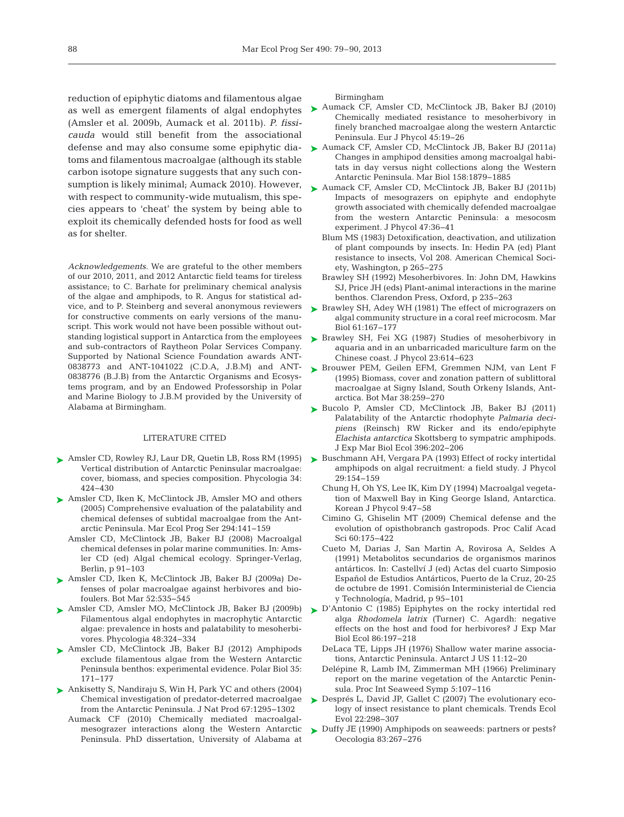reduction of epiphytic diatoms and filamentous algae (Amsler et al. 2009b, Aumack et al. 2011b). *P. fissicauda* would still benefit from the associational defense and may also consume some epiphytic dia toms and filamentous macroalgae (although its stable carbon isotope signature suggests that any such consumption is likely minimal; Aumack 2010). However, with respect to community-wide mutualism, this species appears to 'cheat' the system by being able to exploit its chemically defended hosts for food as well as for shelter.

*Acknowledgements*. We are grateful to the other members of our 2010, 2011, and 2012 Antarctic field teams for tireless assistance; to C. Barhate for preliminary chemical analysis of the algae and amphipods, to R. Angus for statistical ad vice, and to P. Steinberg and several anonymous reviewers for constructive comments on early versions of the manuscript. This work would not have been possible without outstanding logistical support in Antarctica from the employees and sub-contractors of Raytheon Polar Services Company. Supported by National Science Foundation awards ANT-0838773 and ANT-1041022 (C.D.A, J.B.M) and ANT-0838776 (B.J.B) from the Antarctic Organisms and Ecosystems program, and by an Endowed Professorship in Polar and Marine Biology to J.B.M provided by the University of Alabama at Birmingham.

#### LITERATURE CITED

- [Amsler CD, Rowley RJ, Laur DR, Quetin LB, Ross RM \(1995\)](http://dx.doi.org/10.2216/i0031-8884-34-5-424.1) ➤ Vertical distribution of Antarctic Peninsular macroalgae: cover, biomass, and species composition. Phycologia 34: 424−430
- ► [Amsler CD, Iken K, McClintock JB, Amsler MO and others](http://dx.doi.org/10.3354/meps294141) (2005) Comprehensive evaluation of the palatability and chemical defenses of subtidal macroalgae from the Antarctic Peninsula. Mar Ecol Prog Ser 294: 141−159
	- Amsler CD, McClintock JB, Baker BJ (2008) Macroalgal chemical defenses in polar marine communities. In:Amsler CD (ed) Algal chemical ecology. Springer-Verlag, Berlin, p 91−103
- [Amsler CD, Iken K, McClintock JB, Baker BJ \(2009a\) De -](http://dx.doi.org/10.1515/BOT.2009.070) ➤ fenses of polar macroalgae against herbivores and biofoulers. Bot Mar 52:535-545
- [Amsler CD, Amsler MO, McClintock JB, Baker BJ \(2009b\)](http://dx.doi.org/10.2216/08-79.1) ➤ Filamentous algal endophytes in macrophytic Antarctic algae: prevalence in hosts and palatability to mesoherbivores. Phycologia 48:324-334
- ▶ [Amsler CD, McClintock JB, Baker BJ \(2012\) Amphipods](http://dx.doi.org/10.1007/s00300-011-1049-3) exclude filamentous algae from the Western Antarctic Peninsula benthos: experimental evidence. Polar Biol 35: 171−177
- ▶ [Ankisetty S, Nandiraju S, Win H, Park YC and others \(2004\)](http://dx.doi.org/10.1021/np049965c) Chemical investigation of predator-deterred macroalgae from the Antarctic Peninsula. J Nat Prod 67:1295-1302
	- Aumack CF (2010) Chemically mediated macroalgalmesograzer interactions along the Western Antarctic Peninsula. PhD dissertation, University of Alabama at

Birmingham

- as well as emergent filaments of algal endophytes [Aumack CF, Amsler CD, McClintock JB, Baker BJ \(2010\)](http://dx.doi.org/10.1080/09670260903171668) Chemically mediated resistance to mesoherbivory in finely branched macroalgae along the western Antarctic Peninsula. Eur J Phycol 45: 19−26
	- ► [Aumack CF, Amsler CD, McClintock JB, Baker BJ \(2011a\)](http://dx.doi.org/10.1007/s00227-011-1700-0) Changes in amphipod densities among macroalgal habitats in day versus night collections along the Western Antarctic Peninsula. Mar Biol 158: 1879−1885
	- ► [Aumack CF, Amsler CD, McClintock JB, Baker BJ \(2011b\)](http://dx.doi.org/10.1111/j.1529-8817.2010.00927.x) Impacts of mesograzers on epiphyte and endophyte growth associated with chemically defended macroalgae from the western Antarctic Peninsula: a mesocosm experiment. J Phycol 47:36-41
		- Blum MS (1983) Detoxification, deactivation, and utilization of plant compounds by insects. In: Hedin PA (ed) Plant resistance to insects, Vol 208. American Chemical Society, Washington, p 265−275
		- Brawley SH (1992) Mesoherbivores. In: John DM, Hawkins SJ, Price JH (eds) Plant-animal interactions in the marine benthos. Clarendon Press, Oxford, p 235−263
	- ► [Brawley SH, Adey WH \(1981\) The effect of micrograzers on](http://dx.doi.org/10.1007/BF00386656) algal community structure in a coral reef microcosm. Mar Biol 61:167-177
	- ▶ [Brawley SH, Fei XG \(1987\) Studies of mesoherbivory in](http://dx.doi.org/10.1111/j.1529-8817.1987.tb04214.x) aquaria and in an unbarricaded mariculture farm on the Chinese coast. J Phycol 23: 614−623
	- ▶ [Brouwer PEM, Geilen EFM, Gremmen NJM, van Lent F](http://dx.doi.org/10.1515/botm.1995.38.1-6.259) (1995) Biomass, cover and zonation pattern of sublittoral macroalgae at Signy Island, South Orkeny Islands, Antarctica. Bot Mar 38:259-270
	- ▶ [Bucolo P, Amsler CD, McClintock JB, Baker BJ \(2011\)](http://dx.doi.org/10.1016/j.jembe.2010.10.023) Palatability of the Antarctic rhodophyte *Palmaria deci piens* (Reinsch) RW Ricker and its endo/epiphyte *Elachista antarctica* Skottsberg to sympatric amphipods. J Exp Mar Biol Ecol 396: 202−206
	- ► [Buschmann AH, Vergara PA \(1993\) Effect of rocky intertidal](http://dx.doi.org/10.1111/j.0022-3646.1993.00154.x) amphipods on algal recruitment: a field study. J Phycol 29: 154−159
		- Chung H, Oh YS, Lee IK, Kim DY (1994) Macroalgal vegetation of Maxwell Bay in King George Island, Antarctica. Korean J Phycol 9:47-58
		- Cimino G, Ghiselin MT (2009) Chemical defense and the evolution of opisthobranch gastropods. Proc Calif Acad Sci 60: 175−422
		- Cueto M, Darias J, San Martin A, Rovirosa A, Seldes A (1991) Metabolitos secundarios de organismos marinos antárticos. In:Castellví J (ed) Actas del cuarto Simposio Español de Estudios Antárticos, Puerto de la Cruz, 20-25 de octubre de 1991. Comisión Interministerial de Ciencia y Technología, Madrid, p 95−101
	- ► [D'Antonio C \(1985\) Epiphytes on the rocky intertidal red](http://dx.doi.org/10.1016/0022-0981(85)90103-0) alga *Rhodomela latrix* (Turner) C. Agardh: negative effects on the host and food for herbivores? J Exp Mar Biol Ecol 86: 197−218
		- DeLaca TE, Lipps JH (1976) Shallow water marine associations, Antarctic Peninsula. Antarct J US 11: 12−20
		- Delépine R, Lamb IM, Zimmerman MH (1966) Preliminary report on the marine vegetation of the Antarctic Peninsula. Proc Int Seaweed Symp 5: 107−116
	- ▶ Després L, David JP, Gallet C (2007) The evolutionary ecology of insect resistance to plant chemicals. Trends Ecol Evol 22: 298−307
	- ► Duffy JE (1990) Amphipods on seaweeds: partners or pests? Oecologia 83: 267−276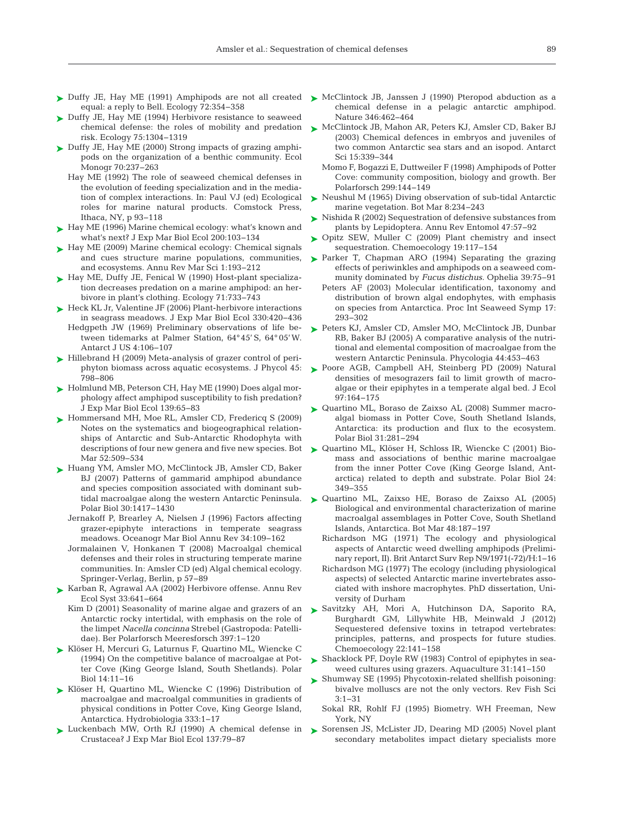- ► [Duffy JE, Hay ME \(1991\) Amphipods are not all created](http://dx.doi.org/10.2307/1938930) ► [McClintock JB, Janssen J \(1990\) Pteropod abduction as a](http://dx.doi.org/10.1038/346462a0) equal:a reply to Bell. Ecology 72: 354−358
- ► [Duffy JE, Hay ME \(1994\) Herbivore resistance to seaweed](http://dx.doi.org/10.2307/1937456) risk. Ecology 75: 1304−1319
- ► Duffy JE, Hay ME (2000) Strong impacts of grazing amphipods on the organization of a benthic community. Ecol Monogr 70:237-263
	- Hay ME (1992) The role of seaweed chemical defenses in the evolution of feeding specialization and in the mediation of complex interactions. In:Paul VJ (ed) Ecological roles for marine natural products. Comstock Press, Ithaca, NY, p 93−118
- $\blacktriangleright$  Hay ME (1996) Marine chemical ecology: what's known and what's next? J Exp Mar Biol Ecol 200: 103−134
- ► Hay ME (2009) Marine chemical ecology: Chemical signals and cues structure marine populations, communities, and ecosystems. Annu Rev Mar Sci 1: 193−212
- ► [Hay ME, Duffy JE, Fenical W \(1990\) Host-plant specializa](http://dx.doi.org/10.2307/1940326)tion decreases predation on a marine amphipod: an herbivore in plant's clothing. Ecology 71: 733−743
- ► [Heck KL Jr, Valentine JF \(2006\) Plant-herbivore interactions](http://dx.doi.org/10.1016/j.jembe.2005.12.044) in seagrass meadows. J Exp Mar Biol Ecol 330: 420−436 Hedgpeth JW (1969) Preliminary observations of life be -
- tween tidemarks at Palmer Station, 64°45' S, 64° 05'W. Antarct J US 4: 106−107
- ► [Hillebrand H \(2009\) Meta-analysis of grazer control of peri](http://dx.doi.org/10.1111/j.1529-8817.2009.00702.x)phyton biomass across aquatic ecosystems. J Phycol 45: 798−806
- ► [Holmlund MB, Peterson CH, Hay ME \(1990\) Does algal mor](http://dx.doi.org/10.1016/0022-0981(90)90039-F)phology affect amphipod susceptibility to fish predation? J Exp Mar Biol Ecol 139:65-83
- ► [Hommersand MH, Moe RL, Amsler CD, Fredericq S \(2009\)](http://dx.doi.org/10.1515/BOT.2009.081) Notes on the systematics and biogeographical relationships of Antarctic and Sub-Antarctic Rhodophyta with descriptions of four new genera and five new species. Bot Mar 52:509-534
- ► [Huang YM, Amsler MO, McClintock JB, Amsler CD, Baker](http://dx.doi.org/10.1007/s00300-007-0303-1) BJ (2007) Patterns of gammarid amphipod abundance and species composition associated with dominant sub tidal macroalgae along the western Antarctic Peninsula. Polar Biol 30: 1417−1430
	- Jernakoff P, Brearley A, Nielsen J (1996) Factors affecting grazer-epiphyte interactions in temperate seagrass meadows. Oceanogr Mar Biol Annu Rev 34: 109−162
	- Jormalainen V, Honkanen T (2008) Macroalgal chemical defenses and their roles in structuring temperate marine communities. In:Amsler CD (ed) Algal chemical ecology. Springer-Verlag, Berlin, p 57−89
- ► [Karban R, Agrawal AA \(2002\) Herbivore offense. Annu Rev](http://dx.doi.org/10.1146/annurev.ecolsys.33.010802.150443) Ecol Syst 33: 641−664
	- Kim D (2001) Seasonality of marine algae and grazers of an Antarctic rocky intertidal, with emphasis on the role of the limpet *Nacella concinna* Strebel (Gastropoda: Patellidae). Ber Polarforsch Meeresforsch 397: 1−120
- [Klöser H, Mercuri G, Laturnus F, Quartino ML, Wiencke C](http://dx.doi.org/10.1007/BF00240266) ➤ (1994) On the competitive balance of macroalgae at Potter Cove (King George Island, South Shetlands). Polar Biol 14: 11−16
- ▶ [Klöser H, Quartino ML, Wiencke C \(1996\) Distribution of](http://dx.doi.org/10.1007/BF00020959) macroalgae and macroalgal communities in gradients of physical conditions in Potter Cove, King George Island, Antarctica. Hydrobiologia 333: 1−17
- [Luckenbach MW, Orth RJ \(1990\) A chemical defense in](http://dx.doi.org/10.1016/0022-0981(90)90061-G) ➤ Crustacea? J Exp Mar Biol Ecol 137:79-87
- chemical defense in a pelagic antarctic amphipod. Nature 346:462-464
- chemical defense: the roles of mobility and predation  $\blacktriangleright$  [McClintock JB, Mahon AR, Peters KJ, Amsler CD, Baker BJ](http://dx.doi.org/10.1017/S0954102003001354) (2003) Chemical defences in embryos and juveniles of two common Antarctic sea stars and an isopod. Antarct Sci 15: 339−344
	- Momo F, Bogazzi E, Duttweiler F (1998) Amphipods of Potter Cove: community composition, biology and growth. Ber Polarforsch 299: 144−149
	- ► [Neushul M \(1965\) Diving observation of sub-tidal Antarctic](http://dx.doi.org/10.1515/botm.1965.8.2-4.234) marine vegetation. Bot Mar 8:234-243
	- ► [Nishida R \(2002\) Sequestration of defensive substances from](http://dx.doi.org/10.1146/annurev.ento.47.091201.145121) plants by Lepidoptera. Annu Rev Entomol 47:57-92
	- ▶ [Opitz SEW, Muller C \(2009\) Plant chemistry and insect](http://dx.doi.org/10.1007/s00049-009-0018-6) sequestration. Chemoecology 19:117-154
	- ▶ [Parker T, Chapman ARO \(1994\) Separating the grazing](http://dx.doi.org/10.1080/00785326.1994.10429536) effects of periwinkles and amphipods on a seaweed community dominated by *Fucus distichus*. Ophelia 39:75−91
		- Peters AF (2003) Molecular identification, taxonomy and distribution of brown algal endophytes, with emphasis on species from Antarctica. Proc Int Seaweed Symp 17: 293−302
	- ▶ [Peters KJ, Amsler CD, Amsler MO, McClintock JB, Dunbar](http://dx.doi.org/10.2216/0031-8884(2005)44[453%3AACAOTN]2.0.CO%3B2) RB, Baker BJ (2005) A comparative analysis of the nutritional and elemental composition of macroalgae from the western Antarctic Peninsula. Phycologia 44: 453−463
	- ▶ [Poore AGB, Campbell AH, Steinberg PD \(2009\) Natural](http://dx.doi.org/10.1111/j.1365-2745.2008.01457.x) densities of mesograzers fail to limit growth of macroalgae or their epiphytes in a temperate algal bed. J Ecol 97: 164−175
	- ▶ Quartino ML, Boraso de Zaixso AL (2008) Summer macroalgal biomass in Potter Cove, South Shetland Islands, Antarctica: its production and flux to the ecosystem. Polar Biol 31:281-294
	- ▶ [Quartino ML, Klöser H, Schloss IR, Wiencke C \(2001\) Bio](http://dx.doi.org/10.1007/s003000000218)mass and associations of benthic marine macroalgae from the inner Potter Cove (King George Island, Antarctica) related to depth and substrate. Polar Biol 24: 349−355
	- [Quartino ML, Zaixso HE, Boraso de Zaixso AL \(2005\)](http://dx.doi.org/10.1515/BOT.2005.029) ➤ Biological and environmental characterization of marine macroalgal assemblages in Potter Cove, South Shetland Islands, Antarctica. Bot Mar 48: 187−197
		- Richardson MG (1971) The ecology and physiological aspects of Antarctic weed dwelling amphipods (Preliminary report, II). Brit Antarct Surv Rep N9/1971(-72)/H: 1−16
		- Richardson MG (1977) The ecology (including physiological aspects) of selected Antarctic marine invertebrates associated with inshore macrophytes. PhD dissertation, University of Durham
	- [Savitzky AH, Mori A, Hutchinson DA, Saporito RA,](http://dx.doi.org/10.1007/s00049-012-0112-z) ➤ Burghardt GM, Lillywhite HB, Meinwald J (2012) Sequestered defensive toxins in tetrapod vertebrates: principles, patterns, and prospects for future studies. Chemoecology 22: 141−158
	- ► [Shacklock PF, Doyle RW \(1983\) Control of epiphytes in sea](http://dx.doi.org/10.1016/0044-8486(83)90308-3)weed cultures using grazers. Aquaculture 31:141-150
	- ► Shumway SE (1995) Phycotoxin-related shellfish poisoning: bivalve molluscs are not the only vectors. Rev Fish Sci 3:1−31
		- Sokal RR, Rohlf FJ (1995) Biometry. WH Freeman, New York, NY
	- ▶ [Sorensen JS, McLister JD, Dearing MD \(2005\) Novel plant](http://dx.doi.org/10.1890/03-0669) secondary metabolites impact dietary specialists more